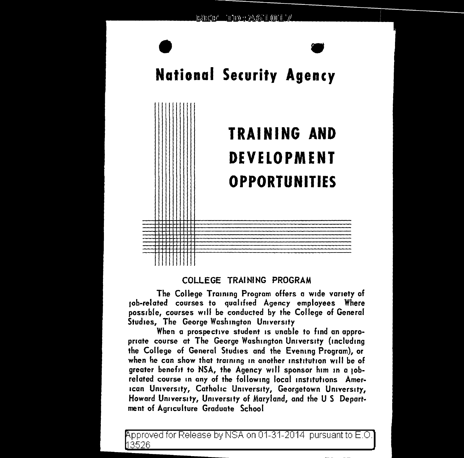

# COLLEGE TRAINING PROGRAM

The College Training Program offers a wide variety of 1ob-related courses to qualified Agency employees Where possible, courses will be conducted by the College of General Studies, The George Washington University

When a prospective student 1s unable to find an appropriate course at The George Washington University (including the College of General Studies and the Evening Program), or when he can show that training in another institution will be of greater benefit to NSA, the Agency will sponsor him in a 10brelated course in any of the following local institutions American University, Catholic University, Georgetown University, Howard University, University of Maryland, and the U S Department of Agriculture Graduate School

pproved for Release by NSA on 01-31-2014 pursuant to E.O. 3526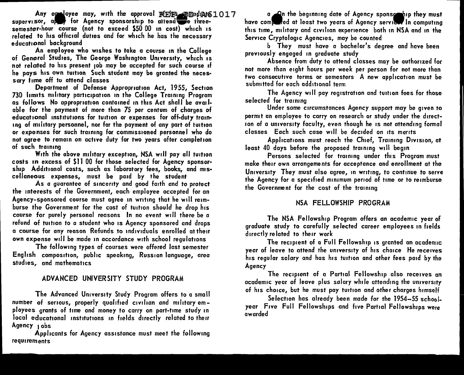Any exployee may, with the approval  $R$ FIFS manduat 61017 supervisor,  $a \rightarrow b$  for Agency sponsorship to attend  $\bullet$  threesemester-hour course (not to exceed \$50 00 1n cost) which 1s related to his official duties and for which he has the necessary educational background

An employee who wishes to take a course in the College of General Studies, The George Washington University, which 1s not related to his present job may be accepted for such course if he pays his own tuition Such student may be granted the necessary time off to attend classes

Department of Defense Appropriation Act, 1955, Section 730 limits military participation in the College Training Program as follows No appropriation contained in this Act shall be available for the payment of more than 75 per centum of charges of educational institutions for tuition or expenses for off-duty training of military personnel, nor for the payment of any part of tuition or expenses for such training for commissioned personnel who do not agree to remain on active duty for two years after completion of such training

With the above military exception, NSA will pay all tuition costs 1n excess of \$11 00 for those selected for Agency sponsor· ship Additional costs, such as laboratory fees, books, and miscellaneous expenses, must be paid by the student

As a guarantee of sincerity and good faith and to protect the interests of the Government, each employee accepted for an Agency-sponsored course must agree in writing that he will reimburse the Government for the cost of tuition should he drop his course for purely personal reasons In no event will there be a refund of tuition to a student who 1s Agency sponsored and drops a course for any reason Refunds to ind1v1duals enrolled at their own expense will be made in accordance with school regulations

The following types of courses were offered last semester English compos1t1on, public speaking, Russian language, area studies, and mathematics

## ADVANCED UNIVERSITY STUDY PROGRAM

The Advanced University Study Program offers to a small number of serious, properly qualified civilian and military employees grants of time and money to carry on part-time study in local educational institutions in fields directly related to their Agency 1obs

Applicants for Agency assistance must meet the following requirements

a  $\Box$  The beginning date of Agency sponse hip they must have computed at least two years of Agency service. In computing this time, military and civilian experience both in NSA and in the Service Cryptologic Agencies, may be counted

b They must have a bachelor's degree and have been previously engaged 1n graduate study

Absence from duty to attend classes may be authorized for not more than eight hours per week per person for not more than two consecutive terms or semesters A new application must be submitted for each add1t1onal term

The Agency will pay registration and tuition fees for those selected for training

Under some circumstances Agency support may be given to permit an employee to carry on research or study under the direction of a university faculty, even though he 1s not attending formal classes Each such case will be decided on its merits

Applications must reach the Chief, Training D1v1s1on, at least 40 days before the proposed training will begin

Persons selected for training under this Program must make their own arrangements for acceptance and enrollment at the University They must also agree, in writing, to continue to serve the Agency for a specified minimum period of time or to reimburse the Government for the cost of the training

## NSA FELLOWSHIP PROGRAM

The NSA Fellowship Program offers an academic year of graduate study to carefully selected career employees in fields directly related to their work

The recipient of a Full Fellowship is granted an academic year of leave to attend the university of his choice He receives his regular salary and has his tuition and other fees paid by the Agency

The recipient of a Partial Fellowship also receives an academic year of leave plus salary while attending the university of his choice, but he must pay tuition and other charges himself

Selection has already been made for the 1954-55 schoolyear Five Full Fellowships and five Partial Fellowships were awarded